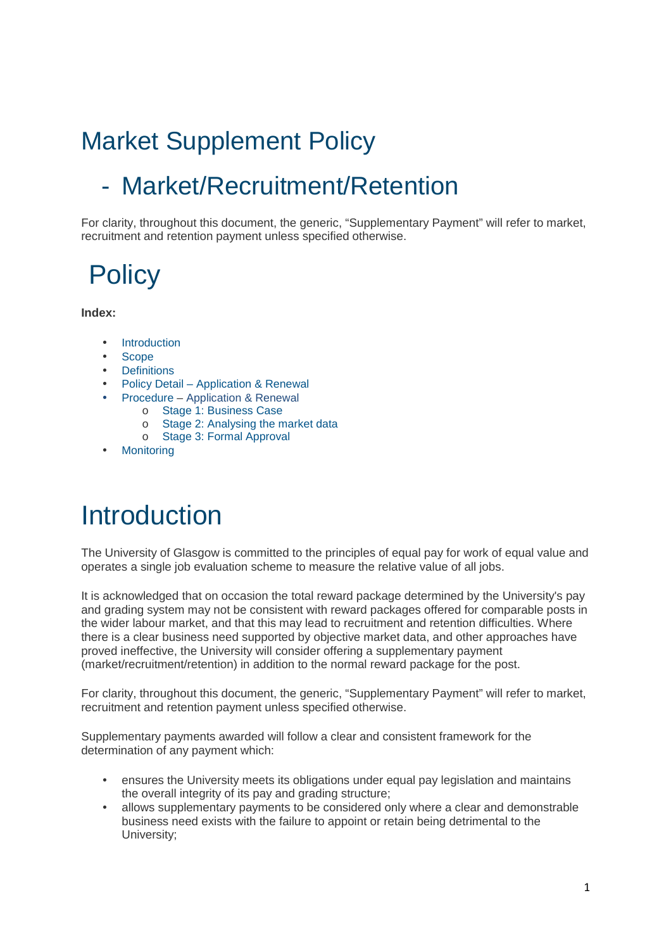# Market Supplement Policy

### - Market/Recruitment/Retention

For clarity, throughout this document, the generic, "Supplementary Payment" will refer to market, recruitment and retention payment unless specified otherwise.

# **Policy**

**Index:** 

- Introduction
- Scope
- Definitions
- Policy Detail Application & Renewal
- Procedure Application & Renewal
	- o Stage 1: Business Case
	- o Stage 2: Analysing the market data
	- o Stage 3: Formal Approval
- **Monitoring**

## **Introduction**

The University of Glasgow is committed to the principles of equal pay for work of equal value and operates a single job evaluation scheme to measure the relative value of all jobs.

It is acknowledged that on occasion the total reward package determined by the University's pay and grading system may not be consistent with reward packages offered for comparable posts in the wider labour market, and that this may lead to recruitment and retention difficulties. Where there is a clear business need supported by objective market data, and other approaches have proved ineffective, the University will consider offering a supplementary payment (market/recruitment/retention) in addition to the normal reward package for the post.

For clarity, throughout this document, the generic, "Supplementary Payment" will refer to market, recruitment and retention payment unless specified otherwise.

Supplementary payments awarded will follow a clear and consistent framework for the determination of any payment which:

- ensures the University meets its obligations under equal pay legislation and maintains the overall integrity of its pay and grading structure;
- allows supplementary payments to be considered only where a clear and demonstrable business need exists with the failure to appoint or retain being detrimental to the University;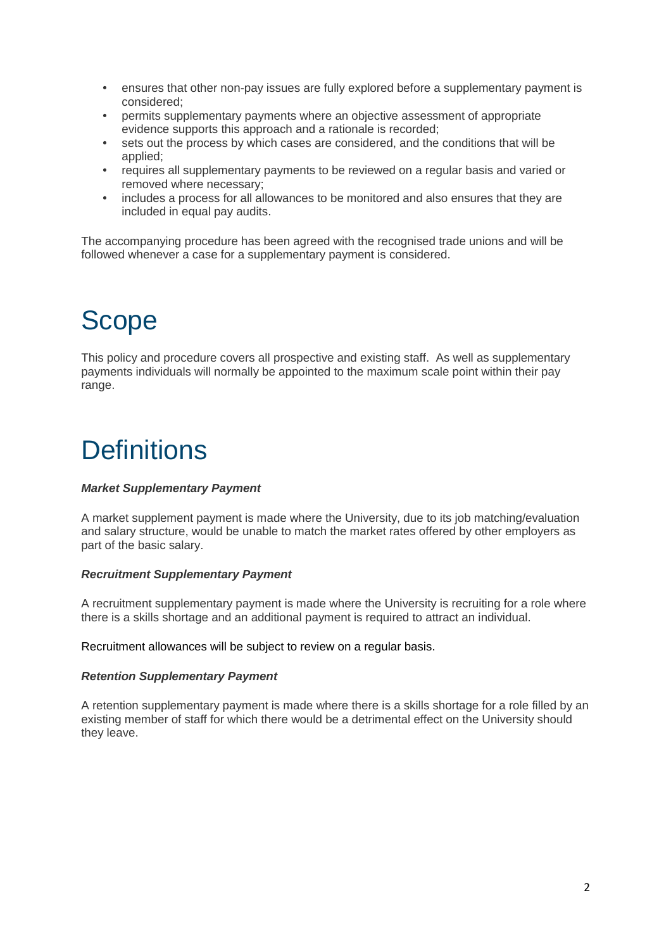- ensures that other non-pay issues are fully explored before a supplementary payment is considered;
- permits supplementary payments where an objective assessment of appropriate evidence supports this approach and a rationale is recorded;
- sets out the process by which cases are considered, and the conditions that will be applied;
- requires all supplementary payments to be reviewed on a regular basis and varied or removed where necessary;
- includes a process for all allowances to be monitored and also ensures that they are included in equal pay audits.

The accompanying procedure has been agreed with the recognised trade unions and will be followed whenever a case for a supplementary payment is considered.

# **Scope**

This policy and procedure covers all prospective and existing staff. As well as supplementary payments individuals will normally be appointed to the maximum scale point within their pay range.

# **Definitions**

#### **Market Supplementary Payment**

A market supplement payment is made where the University, due to its job matching/evaluation and salary structure, would be unable to match the market rates offered by other employers as part of the basic salary.

#### **Recruitment Supplementary Payment**

A recruitment supplementary payment is made where the University is recruiting for a role where there is a skills shortage and an additional payment is required to attract an individual.

Recruitment allowances will be subject to review on a regular basis.

#### **Retention Supplementary Payment**

A retention supplementary payment is made where there is a skills shortage for a role filled by an existing member of staff for which there would be a detrimental effect on the University should they leave.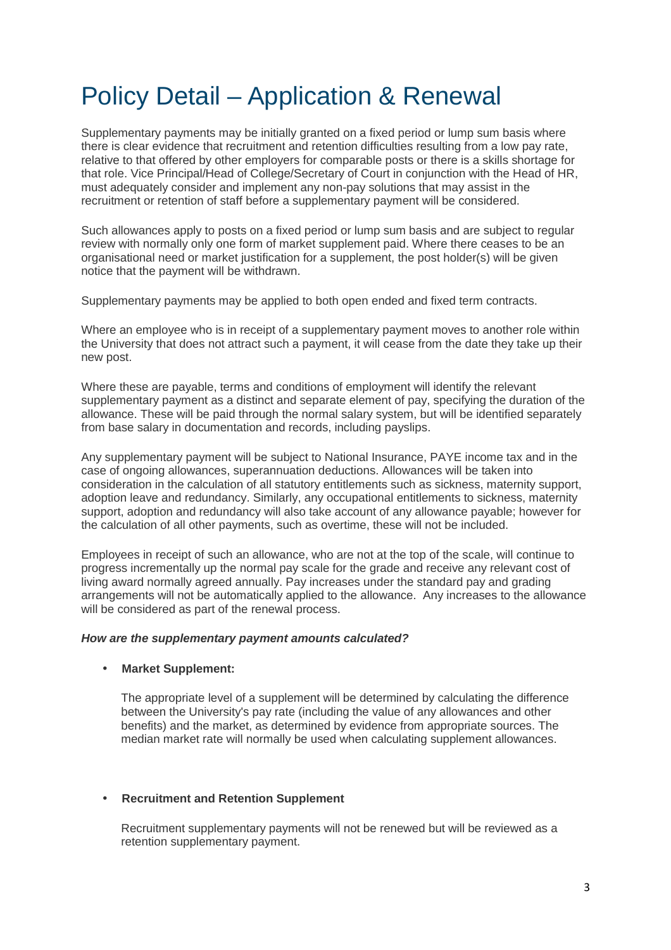## Policy Detail – Application & Renewal

Supplementary payments may be initially granted on a fixed period or lump sum basis where there is clear evidence that recruitment and retention difficulties resulting from a low pay rate, relative to that offered by other employers for comparable posts or there is a skills shortage for that role. Vice Principal/Head of College/Secretary of Court in conjunction with the Head of HR, must adequately consider and implement any non-pay solutions that may assist in the recruitment or retention of staff before a supplementary payment will be considered.

Such allowances apply to posts on a fixed period or lump sum basis and are subject to regular review with normally only one form of market supplement paid. Where there ceases to be an organisational need or market justification for a supplement, the post holder(s) will be given notice that the payment will be withdrawn.

Supplementary payments may be applied to both open ended and fixed term contracts.

Where an employee who is in receipt of a supplementary payment moves to another role within the University that does not attract such a payment, it will cease from the date they take up their new post.

Where these are payable, terms and conditions of employment will identify the relevant supplementary payment as a distinct and separate element of pay, specifying the duration of the allowance. These will be paid through the normal salary system, but will be identified separately from base salary in documentation and records, including payslips.

Any supplementary payment will be subject to National Insurance, PAYE income tax and in the case of ongoing allowances, superannuation deductions. Allowances will be taken into consideration in the calculation of all statutory entitlements such as sickness, maternity support, adoption leave and redundancy. Similarly, any occupational entitlements to sickness, maternity support, adoption and redundancy will also take account of any allowance payable; however for the calculation of all other payments, such as overtime, these will not be included.

Employees in receipt of such an allowance, who are not at the top of the scale, will continue to progress incrementally up the normal pay scale for the grade and receive any relevant cost of living award normally agreed annually. Pay increases under the standard pay and grading arrangements will not be automatically applied to the allowance. Any increases to the allowance will be considered as part of the renewal process.

#### **How are the supplementary payment amounts calculated?**

#### • **Market Supplement:**

The appropriate level of a supplement will be determined by calculating the difference between the University's pay rate (including the value of any allowances and other benefits) and the market, as determined by evidence from appropriate sources. The median market rate will normally be used when calculating supplement allowances.

#### • **Recruitment and Retention Supplement**

Recruitment supplementary payments will not be renewed but will be reviewed as a retention supplementary payment.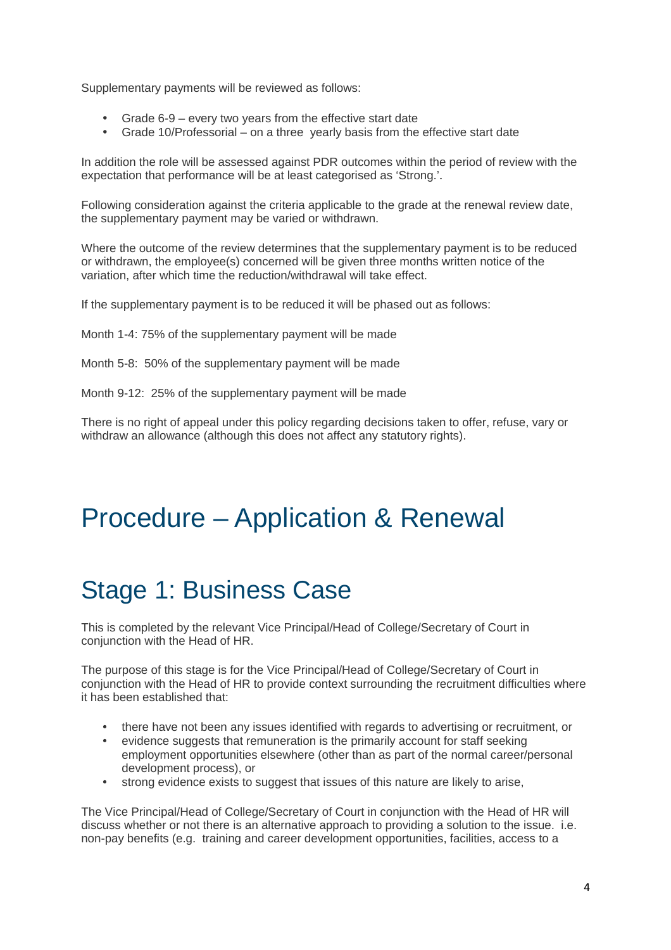Supplementary payments will be reviewed as follows:

- Grade 6-9 every two years from the effective start date
- Grade 10/Professorial on a three yearly basis from the effective start date

In addition the role will be assessed against PDR outcomes within the period of review with the expectation that performance will be at least categorised as 'Strong.'.

Following consideration against the criteria applicable to the grade at the renewal review date, the supplementary payment may be varied or withdrawn.

Where the outcome of the review determines that the supplementary payment is to be reduced or withdrawn, the employee(s) concerned will be given three months written notice of the variation, after which time the reduction/withdrawal will take effect.

If the supplementary payment is to be reduced it will be phased out as follows:

Month 1-4: 75% of the supplementary payment will be made

Month 5-8: 50% of the supplementary payment will be made

Month 9-12: 25% of the supplementary payment will be made

There is no right of appeal under this policy regarding decisions taken to offer, refuse, vary or withdraw an allowance (although this does not affect any statutory rights).

### Procedure – Application & Renewal

### Stage 1: Business Case

This is completed by the relevant Vice Principal/Head of College/Secretary of Court in conjunction with the Head of HR.

The purpose of this stage is for the Vice Principal/Head of College/Secretary of Court in conjunction with the Head of HR to provide context surrounding the recruitment difficulties where it has been established that:

- there have not been any issues identified with regards to advertising or recruitment, or
- evidence suggests that remuneration is the primarily account for staff seeking employment opportunities elsewhere (other than as part of the normal career/personal development process), or
- strong evidence exists to suggest that issues of this nature are likely to arise,

The Vice Principal/Head of College/Secretary of Court in conjunction with the Head of HR will discuss whether or not there is an alternative approach to providing a solution to the issue. i.e. non-pay benefits (e.g. training and career development opportunities, facilities, access to a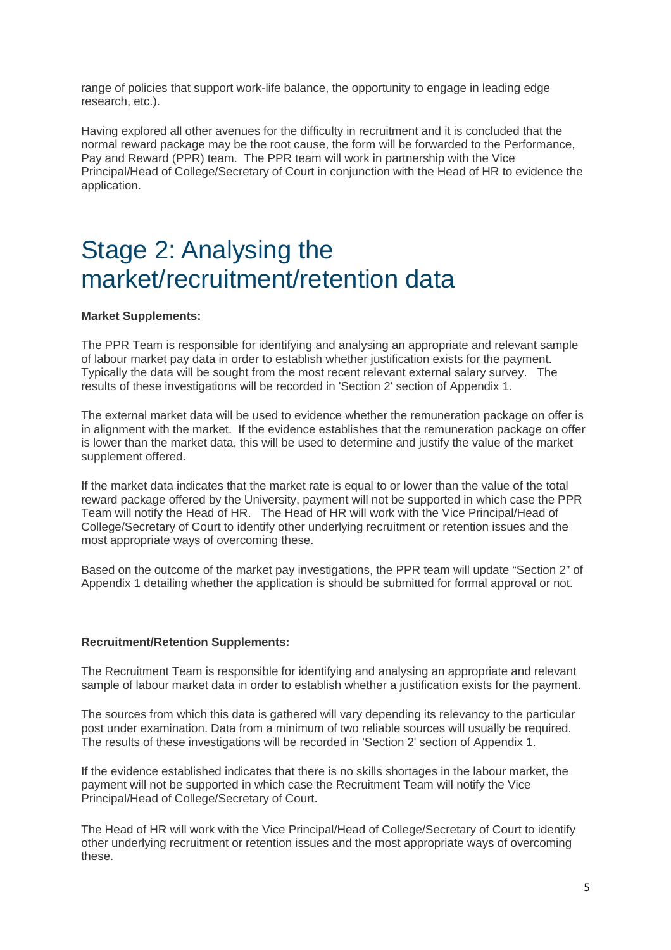range of policies that support work-life balance, the opportunity to engage in leading edge research, etc.).

Having explored all other avenues for the difficulty in recruitment and it is concluded that the normal reward package may be the root cause, the form will be forwarded to the Performance, Pay and Reward (PPR) team. The PPR team will work in partnership with the Vice Principal/Head of College/Secretary of Court in conjunction with the Head of HR to evidence the application.

### Stage 2: Analysing the market/recruitment/retention data

#### **Market Supplements:**

The PPR Team is responsible for identifying and analysing an appropriate and relevant sample of labour market pay data in order to establish whether justification exists for the payment. Typically the data will be sought from the most recent relevant external salary survey. The results of these investigations will be recorded in 'Section 2' section of Appendix 1.

The external market data will be used to evidence whether the remuneration package on offer is in alignment with the market. If the evidence establishes that the remuneration package on offer is lower than the market data, this will be used to determine and justify the value of the market supplement offered.

If the market data indicates that the market rate is equal to or lower than the value of the total reward package offered by the University, payment will not be supported in which case the PPR Team will notify the Head of HR. The Head of HR will work with the Vice Principal/Head of College/Secretary of Court to identify other underlying recruitment or retention issues and the most appropriate ways of overcoming these.

Based on the outcome of the market pay investigations, the PPR team will update "Section 2" of Appendix 1 detailing whether the application is should be submitted for formal approval or not.

#### **Recruitment/Retention Supplements:**

The Recruitment Team is responsible for identifying and analysing an appropriate and relevant sample of labour market data in order to establish whether a justification exists for the payment.

The sources from which this data is gathered will vary depending its relevancy to the particular post under examination. Data from a minimum of two reliable sources will usually be required. The results of these investigations will be recorded in 'Section 2' section of Appendix 1.

If the evidence established indicates that there is no skills shortages in the labour market, the payment will not be supported in which case the Recruitment Team will notify the Vice Principal/Head of College/Secretary of Court.

The Head of HR will work with the Vice Principal/Head of College/Secretary of Court to identify other underlying recruitment or retention issues and the most appropriate ways of overcoming these.